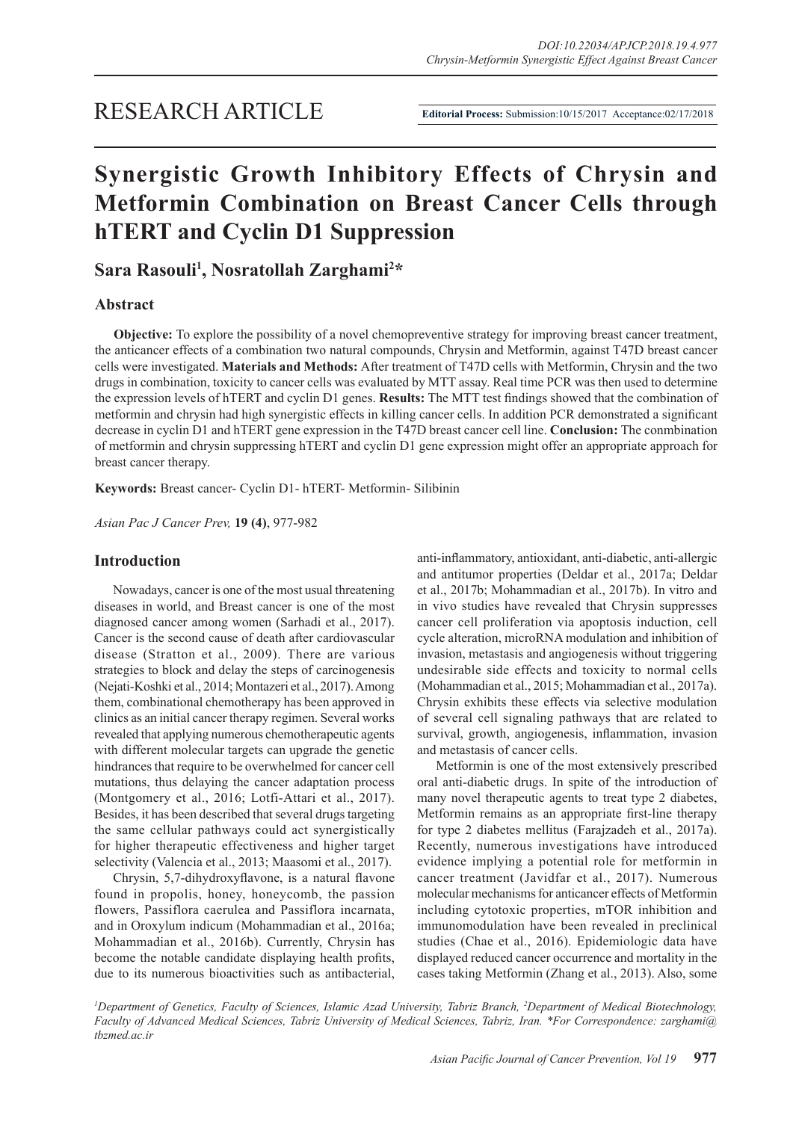# **Synergistic Growth Inhibitory Effects of Chrysin and Metformin Combination on Breast Cancer Cells through hTERT and Cyclin D1 Suppression**

**Sara Rasouli1 , Nosratollah Zarghami2 \***

# **Abstract**

**Objective:** To explore the possibility of a novel chemopreventive strategy for improving breast cancer treatment, the anticancer effects of a combination two natural compounds, Chrysin and Metformin, against T47D breast cancer cells were investigated. **Materials and Methods:** After treatment of T47D cells with Metformin, Chrysin and the two drugs in combination, toxicity to cancer cells was evaluated by MTT assay. Real time PCR was then used to determine the expression levels of hTERT and cyclin D1 genes. **Results:** The MTT test findings showed that the combination of metformin and chrysin had high synergistic effects in killing cancer cells. In addition PCR demonstrated a significant decrease in cyclin D1 and hTERT gene expression in the T47D breast cancer cell line. **Conclusion:** The conmbination of metformin and chrysin suppressing hTERT and cyclin D1 gene expression might offer an appropriate approach for breast cancer therapy.

**Keywords:** Breast cancer- Cyclin D1- hTERT- Metformin- Silibinin

*Asian Pac J Cancer Prev,* **19 (4)**, 977-982

## **Introduction**

Nowadays, cancer is one of the most usual threatening diseases in world, and Breast cancer is one of the most diagnosed cancer among women (Sarhadi et al., 2017). Cancer is the second cause of death after cardiovascular disease (Stratton et al., 2009). There are various strategies to block and delay the steps of carcinogenesis (Nejati-Koshki et al., 2014; Montazeri et al., 2017). Among them, combinational chemotherapy has been approved in clinics as an initial cancer therapy regimen. Several works revealed that applying numerous chemotherapeutic agents with different molecular targets can upgrade the genetic hindrances that require to be overwhelmed for cancer cell mutations, thus delaying the cancer adaptation process (Montgomery et al., 2016; Lotfi-Attari et al., 2017). Besides, it has been described that several drugs targeting the same cellular pathways could act synergistically for higher therapeutic effectiveness and higher target selectivity (Valencia et al., 2013; Maasomi et al., 2017).

Chrysin, 5,7-dihydroxyflavone, is a natural flavone found in propolis, honey, honeycomb, the passion flowers, Passiflora caerulea and Passiflora incarnata, and in Oroxylum indicum (Mohammadian et al., 2016a; Mohammadian et al., 2016b). Currently, Chrysin has become the notable candidate displaying health profits, due to its numerous bioactivities such as antibacterial, anti-inflammatory, antioxidant, anti-diabetic, anti-allergic and antitumor properties (Deldar et al., 2017a; Deldar et al., 2017b; Mohammadian et al., 2017b). In vitro and in vivo studies have revealed that Chrysin suppresses cancer cell proliferation via apoptosis induction, cell cycle alteration, microRNA modulation and inhibition of invasion, metastasis and angiogenesis without triggering undesirable side effects and toxicity to normal cells (Mohammadian et al., 2015; Mohammadian et al., 2017a). Chrysin exhibits these effects via selective modulation of several cell signaling pathways that are related to survival, growth, angiogenesis, inflammation, invasion and metastasis of cancer cells.

Metformin is one of the most extensively prescribed oral anti-diabetic drugs. In spite of the introduction of many novel therapeutic agents to treat type 2 diabetes, Metformin remains as an appropriate first-line therapy for type 2 diabetes mellitus (Farajzadeh et al., 2017a). Recently, numerous investigations have introduced evidence implying a potential role for metformin in cancer treatment (Javidfar et al., 2017). Numerous molecular mechanisms for anticancer effects of Metformin including cytotoxic properties, mTOR inhibition and immunomodulation have been revealed in preclinical studies (Chae et al., 2016). Epidemiologic data have displayed reduced cancer occurrence and mortality in the cases taking Metformin (Zhang et al., 2013). Also, some

*1 Department of Genetics, Faculty of Sciences, Islamic Azad University, Tabriz Branch, 2 Department of Medical Biotechnology, Faculty of Advanced Medical Sciences, Tabriz University of Medical Sciences, Tabriz, Iran. \*For Correspondence: zarghami@ tbzmed.ac.ir*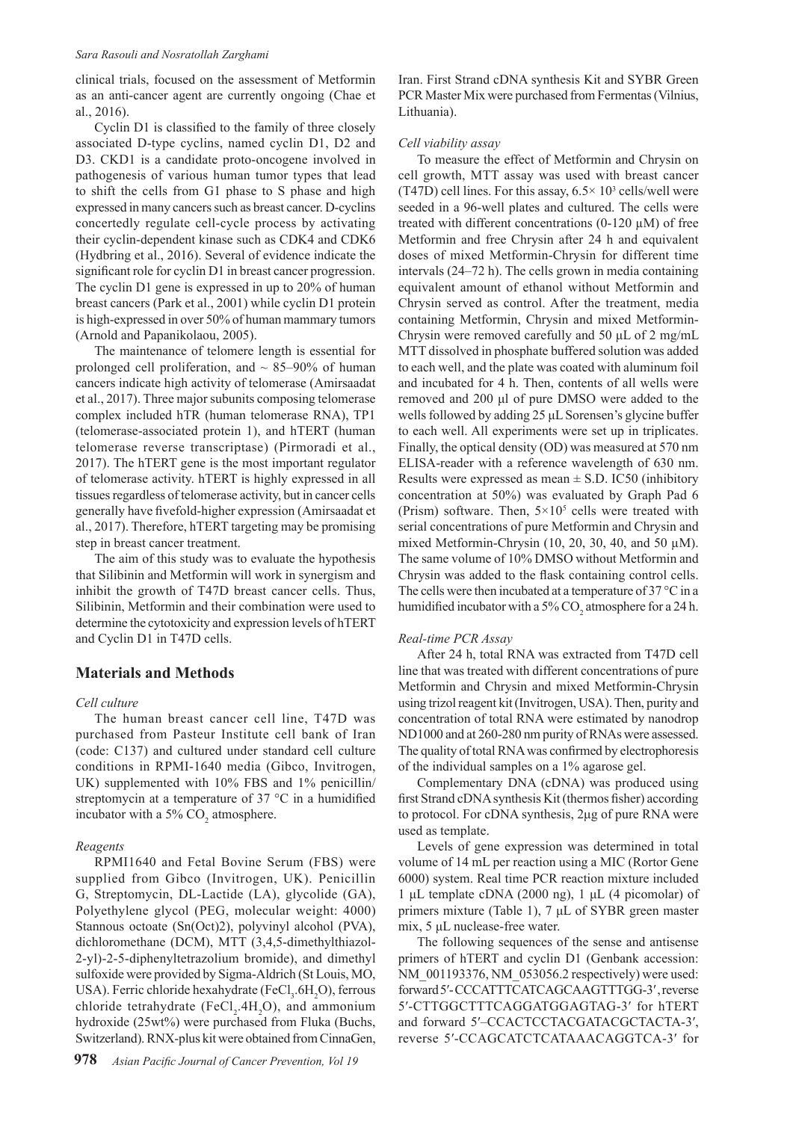clinical trials, focused on the assessment of Metformin as an anti-cancer agent are currently ongoing (Chae et al., 2016).

Cyclin D1 is classified to the family of three closely associated D-type cyclins, named cyclin D1, D2 and D3. CKD1 is a candidate proto-oncogene involved in pathogenesis of various human tumor types that lead to shift the cells from G1 phase to S phase and high expressed in many cancers such as breast cancer. D-cyclins concertedly regulate cell-cycle process by activating their cyclin-dependent kinase such as CDK4 and CDK6 (Hydbring et al., 2016). Several of evidence indicate the significant role for cyclin D1 in breast cancer progression. The cyclin D1 gene is expressed in up to 20% of human breast cancers (Park et al., 2001) while cyclin D1 protein is high-expressed in over 50% of human mammary tumors (Arnold and Papanikolaou, 2005).

The maintenance of telomere length is essential for prolonged cell proliferation, and  $\sim 85-90\%$  of human cancers indicate high activity of telomerase (Amirsaadat et al., 2017). Three major subunits composing telomerase complex included hTR (human telomerase RNA), TP1 (telomerase-associated protein 1), and hTERT (human telomerase reverse transcriptase) (Pirmoradi et al., 2017). The hTERT gene is the most important regulator of telomerase activity. hTERT is highly expressed in all tissues regardless of telomerase activity, but in cancer cells generally have fivefold-higher expression (Amirsaadat et al., 2017). Therefore, hTERT targeting may be promising step in breast cancer treatment.

The aim of this study was to evaluate the hypothesis that Silibinin and Metformin will work in synergism and inhibit the growth of T47D breast cancer cells. Thus, Silibinin, Metformin and their combination were used to determine the cytotoxicity and expression levels of hTERT and Cyclin D1 in T47D cells.

## **Materials and Methods**

## *Cell culture*

The human breast cancer cell line, T47D was purchased from Pasteur Institute cell bank of Iran (code: C137) and cultured under standard cell culture conditions in RPMI-1640 media (Gibco, Invitrogen, UK) supplemented with 10% FBS and 1% penicillin/ streptomycin at a temperature of 37 °C in a humidified incubator with a  $5\%$  CO<sub>2</sub> atmosphere.

## *Reagents*

RPMI1640 and Fetal Bovine Serum (FBS) were supplied from Gibco (Invitrogen, UK). Penicillin G, Streptomycin, DL-Lactide (LA), glycolide (GA), Polyethylene glycol (PEG, molecular weight: 4000) Stannous octoate (Sn(Oct)2), polyvinyl alcohol (PVA), dichloromethane (DCM), MTT (3,4,5-dimethylthiazol-2-yl)-2-5-diphenyltetrazolium bromide), and dimethyl sulfoxide were provided by Sigma-Aldrich (St Louis, MO, USA). Ferric chloride hexahydrate (FeCl<sub>3</sub>.6H<sub>2</sub>O), ferrous chloride tetrahydrate ( $\text{FeCl}_2$ .4H<sub>2</sub>O), and ammonium hydroxide (25wt%) were purchased from Fluka (Buchs, Switzerland). RNX-plus kit were obtained from CinnaGen,

Iran. First Strand cDNA synthesis Kit and SYBR Green PCR Master Mix were purchased from Fermentas (Vilnius, Lithuania).

## *Cell viability assay*

To measure the effect of Metformin and Chrysin on cell growth, MTT assay was used with breast cancer (T47D) cell lines. For this assay,  $6.5 \times 10^3$  cells/well were seeded in a 96-well plates and cultured. The cells were treated with different concentrations (0-120 µM) of free Metformin and free Chrysin after 24 h and equivalent doses of mixed Metformin-Chrysin for different time intervals (24–72 h). The cells grown in media containing equivalent amount of ethanol without Metformin and Chrysin served as control. After the treatment, media containing Metformin, Chrysin and mixed Metformin-Chrysin were removed carefully and 50 μL of 2 mg/mL MTT dissolved in phosphate buffered solution was added to each well, and the plate was coated with aluminum foil and incubated for 4 h. Then, contents of all wells were removed and 200 μl of pure DMSO were added to the wells followed by adding 25 μL Sorensen's glycine buffer to each well. All experiments were set up in triplicates. Finally, the optical density (OD) was measured at 570 nm ELISA-reader with a reference wavelength of 630 nm. Results were expressed as mean  $\pm$  S.D. IC50 (inhibitory concentration at 50%) was evaluated by Graph Pad 6 (Prism) software. Then,  $5 \times 10^5$  cells were treated with serial concentrations of pure Metformin and Chrysin and mixed Metformin-Chrysin (10, 20, 30, 40, and 50 µM). The same volume of 10% DMSO without Metformin and Chrysin was added to the flask containing control cells. The cells were then incubated at a temperature of 37 °C in a humidified incubator with a  $5\%$  CO<sub>2</sub> atmosphere for a 24 h.

## *Real-time PCR Assay*

After 24 h, total RNA was extracted from T47D cell line that was treated with different concentrations of pure Metformin and Chrysin and mixed Metformin-Chrysin using trizol reagent kit (Invitrogen, USA). Then, purity and concentration of total RNA were estimated by nanodrop ND1000 and at 260-280 nm purity of RNAs were assessed. The quality of total RNA was confirmed by electrophoresis of the individual samples on a 1% agarose gel.

Complementary DNA (cDNA) was produced using first Strand cDNA synthesis Kit (thermos fisher) according to protocol. For cDNA synthesis, 2μg of pure RNA were used as template.

Levels of gene expression was determined in total volume of 14 mL per reaction using a MIC (Rortor Gene 6000) system. Real time PCR reaction mixture included 1 μL template cDNA (2000 ng), 1 μL (4 picomolar) of primers mixture (Table 1), 7 μL of SYBR green master mix, 5 μL nuclease-free water.

The following sequences of the sense and antisense primers of hTERT and cyclin D1 (Genbank accession: NM\_001193376, NM\_053056.2 respectively) were used: forward 5ʹ- CCCATTTCATCAGCAAGTTTGG-3ʹ , reverse 5ʹ-CTTGGCTTTCAGGATGGAGTAG-3ʹ for hTERT and forward 5ʹ–CCACTCCTACGATACGCTACTA-3ʹ, reverse 5ʹ-CCAGCATCTCATAAACAGGTCA-3ʹ for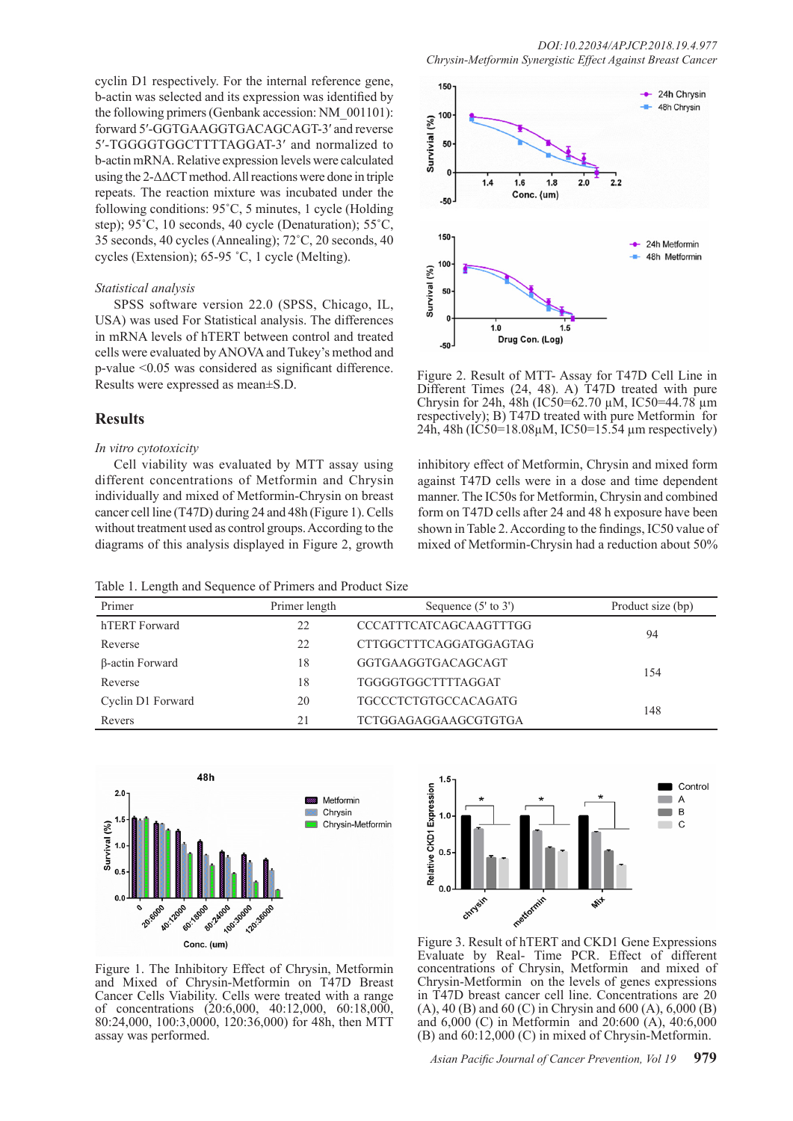cyclin D1 respectively. For the internal reference gene, b-actin was selected and its expression was identified by the following primers (Genbank accession: NM\_001101): forward 5ʹ-GGTGAAGGTGACAGCAGT-3ʹ and reverse 5ʹ-TGGGGTGGCTTTTAGGAT-3ʹ and normalized to b-actin mRNA. Relative expression levels were calculated using the 2-ΔΔCT method. All reactions were done in triple repeats. The reaction mixture was incubated under the following conditions: 95˚C, 5 minutes, 1 cycle (Holding step); 95˚C, 10 seconds, 40 cycle (Denaturation); 55˚C, 35 seconds, 40 cycles (Annealing); 72˚C, 20 seconds, 40 cycles (Extension); 65-95 ˚C, 1 cycle (Melting).

## *Statistical analysis*

SPSS software version 22.0 (SPSS, Chicago, IL, USA) was used For Statistical analysis. The differences in mRNA levels of hTERT between control and treated cells were evaluated by ANOVA and Tukey's method and p-value <0.05 was considered as significant difference. Results were expressed as mean±S.D.

# **Results**

## *In vitro cytotoxicity*

Cell viability was evaluated by MTT assay using different concentrations of Metformin and Chrysin individually and mixed of Metformin-Chrysin on breast cancer cell line (T47D) during 24 and 48h (Figure 1). Cells without treatment used as control groups. According to the diagrams of this analysis displayed in Figure 2, growth

Table 1. Length and Sequence of Primers and Product Size



Figure 2. Result of MTT- Assay for T47D Cell Line in Different Times (24, 48). A) T47D treated with pure Chrysin for 24h, 48h (IC50=62.70  $\mu$ M, IC50=44.78  $\mu$ m respectively); B) T47D treated with pure Metformin for 24h, 48h (IC50=18.08µM, IC50=15.54 µm respectively)

inhibitory effect of Metformin, Chrysin and mixed form against T47D cells were in a dose and time dependent manner. The IC50s for Metformin, Chrysin and combined form on T47D cells after 24 and 48 h exposure have been shown in Table 2. According to the findings, IC50 value of mixed of Metformin-Chrysin had a reduction about 50%

| Primer            | Primer length | Sequence $(5'$ to $3')$       | Product size (bp) |
|-------------------|---------------|-------------------------------|-------------------|
| hTERT Forward     | 22            | <b>CCCATTTCATCAGCAAGTTTGG</b> | 94                |
| Reverse           | 22            | <b>CTTGGCTTTCAGGATGGAGTAG</b> |                   |
| β-actin Forward   | 18            | GGTGAAGGTGACAGCAGT            | 154               |
| Reverse           | 18            | TGGGGTGGCTTTTAGGAT            |                   |
| Cyclin D1 Forward | 20            | <b>TGCCCTCTGTGCCACAGATG</b>   | 148               |
| Revers            | 21            | TCTGGAGAGGAAGCGTGTGA          |                   |





Figure 1. The Inhibitory Effect of Chrysin, Metformin and Mixed of Chrysin-Metformin on T47D Breast Cancer Cells Viability. Cells were treated with a range of concentrations (20:6,000, 40:12,000, 60:18,000, 80:24,000, 100:3,0000, 120:36,000) for 48h, then MTT assay was performed.

Figure 3. Result of hTERT and CKD1 Gene Expressions Evaluate by Real- Time PCR. Effect of different concentrations of Chrysin, Metformin and mixed of Chrysin-Metformin on the levels of genes expressions in T47D breast cancer cell line. Concentrations are 20 (A), 40 (B) and 60 (C) in Chrysin and 600 (A), 6,000 (B) and 6,000 (C) in Metformin and 20:600 (A), 40:6,000 (B) and 60:12,000 (C) in mixed of Chrysin-Metformin.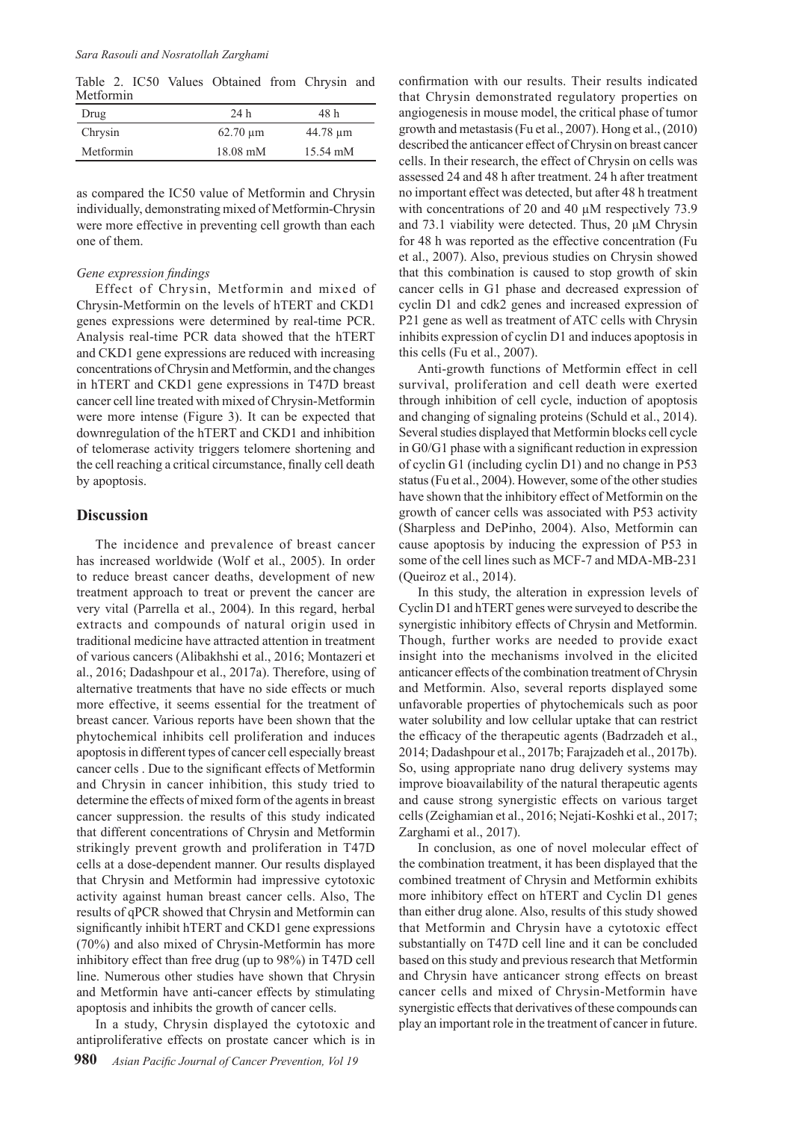Table 2. IC50 Values Obtained from Chrysin and Metformin

| Drug      | 24 h          | 48 h          |
|-----------|---------------|---------------|
| Chrysin   | $62.70 \mu m$ | $44.78 \mu m$ |
| Metformin | $18.08$ mM    | 15.54 mM      |

as compared the IC50 value of Metformin and Chrysin individually, demonstrating mixed of Metformin-Chrysin were more effective in preventing cell growth than each one of them.

## *Gene expression findings*

Effect of Chrysin, Metformin and mixed of Chrysin-Metformin on the levels of hTERT and CKD1 genes expressions were determined by real-time PCR. Analysis real-time PCR data showed that the hTERT and CKD1 gene expressions are reduced with increasing concentrations of Chrysin and Metformin, and the changes in hTERT and CKD1 gene expressions in T47D breast cancer cell line treated with mixed of Chrysin-Metformin were more intense (Figure 3). It can be expected that downregulation of the hTERT and CKD1 and inhibition of telomerase activity triggers telomere shortening and the cell reaching a critical circumstance, finally cell death by apoptosis.

## **Discussion**

The incidence and prevalence of breast cancer has increased worldwide (Wolf et al., 2005). In order to reduce breast cancer deaths, development of new treatment approach to treat or prevent the cancer are very vital (Parrella et al., 2004). In this regard, herbal extracts and compounds of natural origin used in traditional medicine have attracted attention in treatment of various cancers (Alibakhshi et al., 2016; Montazeri et al., 2016; Dadashpour et al., 2017a). Therefore, using of alternative treatments that have no side effects or much more effective, it seems essential for the treatment of breast cancer. Various reports have been shown that the phytochemical inhibits cell proliferation and induces apoptosis in different types of cancer cell especially breast cancer cells . Due to the significant effects of Metformin and Chrysin in cancer inhibition, this study tried to determine the effects of mixed form of the agents in breast cancer suppression. the results of this study indicated that different concentrations of Chrysin and Metformin strikingly prevent growth and proliferation in T47D cells at a dose-dependent manner. Our results displayed that Chrysin and Metformin had impressive cytotoxic activity against human breast cancer cells. Also, The results of qPCR showed that Chrysin and Metformin can significantly inhibit hTERT and CKD1 gene expressions (70%) and also mixed of Chrysin-Metformin has more inhibitory effect than free drug (up to 98%) in T47D cell line. Numerous other studies have shown that Chrysin and Metformin have anti-cancer effects by stimulating apoptosis and inhibits the growth of cancer cells.

In a study, Chrysin displayed the cytotoxic and antiproliferative effects on prostate cancer which is in

**980** *Asian Pacific Journal of Cancer Prevention, Vol 19*

confirmation with our results. Their results indicated that Chrysin demonstrated regulatory properties on angiogenesis in mouse model, the critical phase of tumor growth and metastasis (Fu et al., 2007). Hong et al., (2010) described the anticancer effect of Chrysin on breast cancer cells. In their research, the effect of Chrysin on cells was assessed 24 and 48 h after treatment. 24 h after treatment no important effect was detected, but after 48 h treatment with concentrations of 20 and 40  $\mu$ M respectively 73.9 and 73.1 viability were detected. Thus, 20 μM Chrysin for 48 h was reported as the effective concentration (Fu et al., 2007). Also, previous studies on Chrysin showed that this combination is caused to stop growth of skin cancer cells in G1 phase and decreased expression of cyclin D1 and cdk2 genes and increased expression of P21 gene as well as treatment of ATC cells with Chrysin inhibits expression of cyclin D1 and induces apoptosis in this cells (Fu et al., 2007).

Anti-growth functions of Metformin effect in cell survival, proliferation and cell death were exerted through inhibition of cell cycle, induction of apoptosis and changing of signaling proteins (Schuld et al., 2014). Several studies displayed that Metformin blocks cell cycle in G0/G1 phase with a significant reduction in expression of cyclin G1 (including cyclin D1) and no change in P53 status (Fu et al., 2004). However, some of the other studies have shown that the inhibitory effect of Metformin on the growth of cancer cells was associated with P53 activity (Sharpless and DePinho, 2004). Also, Metformin can cause apoptosis by inducing the expression of P53 in some of the cell lines such as MCF-7 and MDA-MB-231 (Queiroz et al., 2014).

In this study, the alteration in expression levels of Cyclin D1 and hTERT genes were surveyed to describe the synergistic inhibitory effects of Chrysin and Metformin. Though, further works are needed to provide exact insight into the mechanisms involved in the elicited anticancer effects of the combination treatment of Chrysin and Metformin. Also, several reports displayed some unfavorable properties of phytochemicals such as poor water solubility and low cellular uptake that can restrict the efficacy of the therapeutic agents (Badrzadeh et al., 2014; Dadashpour et al., 2017b; Farajzadeh et al., 2017b). So, using appropriate nano drug delivery systems may improve bioavailability of the natural therapeutic agents and cause strong synergistic effects on various target cells (Zeighamian et al., 2016; Nejati-Koshki et al., 2017; Zarghami et al., 2017).

In conclusion, as one of novel molecular effect of the combination treatment, it has been displayed that the combined treatment of Chrysin and Metformin exhibits more inhibitory effect on hTERT and Cyclin D1 genes than either drug alone. Also, results of this study showed that Metformin and Chrysin have a cytotoxic effect substantially on T47D cell line and it can be concluded based on this study and previous research that Metformin and Chrysin have anticancer strong effects on breast cancer cells and mixed of Chrysin-Metformin have synergistic effects that derivatives of these compounds can play an important role in the treatment of cancer in future.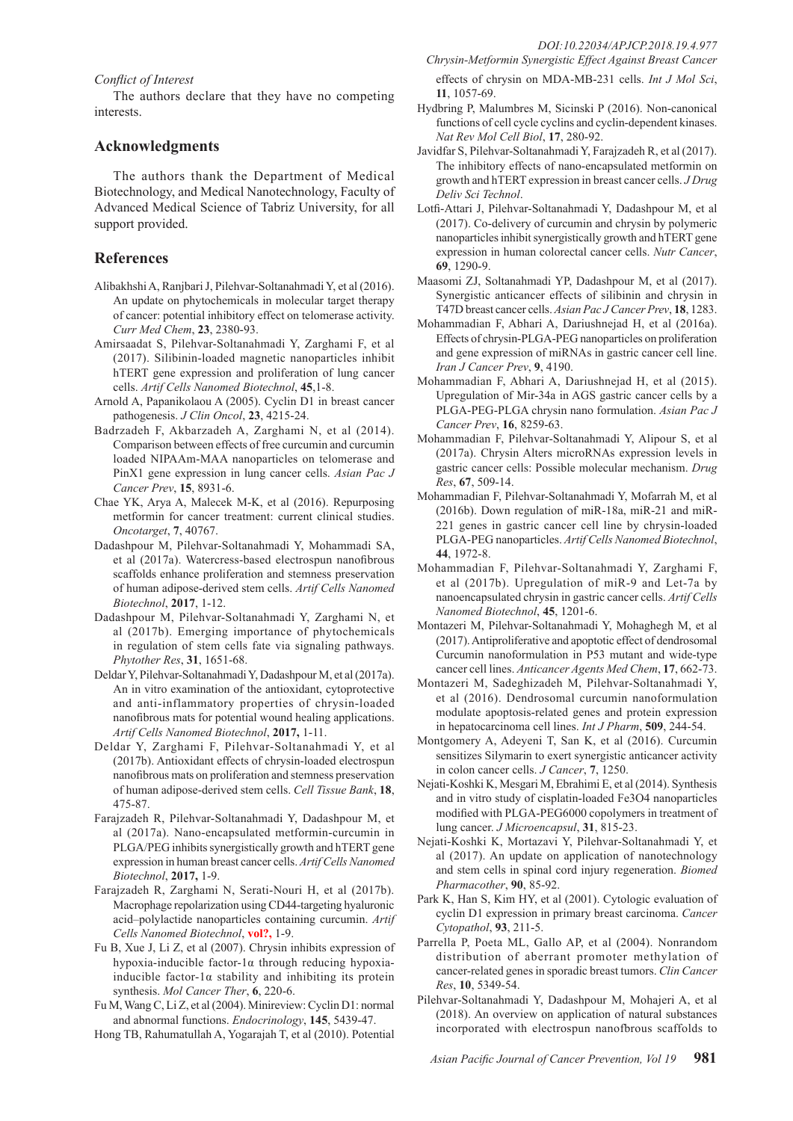#### *Conflict of Interest*

The authors declare that they have no competing interests.

## **Acknowledgments**

The authors thank the Department of Medical Biotechnology, and Medical Nanotechnology, Faculty of Advanced Medical Science of Tabriz University, for all support provided.

## **References**

- Alibakhshi A, Ranjbari J, Pilehvar-Soltanahmadi Y, et al (2016). An update on phytochemicals in molecular target therapy of cancer: potential inhibitory effect on telomerase activity. *Curr Med Chem*, **23**, 2380-93.
- Amirsaadat S, Pilehvar-Soltanahmadi Y, Zarghami F, et al (2017). Silibinin-loaded magnetic nanoparticles inhibit hTERT gene expression and proliferation of lung cancer cells. *Artif Cells Nanomed Biotechnol*, **45**,1-8.
- Arnold A, Papanikolaou A (2005). Cyclin D1 in breast cancer pathogenesis. *J Clin Oncol*, **23**, 4215-24.
- Badrzadeh F, Akbarzadeh A, Zarghami N, et al (2014). Comparison between effects of free curcumin and curcumin loaded NIPAAm-MAA nanoparticles on telomerase and PinX1 gene expression in lung cancer cells. *Asian Pac J Cancer Prev*, **15**, 8931-6.
- Chae YK, Arya A, Malecek M-K, et al (2016). Repurposing metformin for cancer treatment: current clinical studies. *Oncotarget*, **7**, 40767.
- Dadashpour M, Pilehvar-Soltanahmadi Y, Mohammadi SA, et al (2017a). Watercress-based electrospun nanofibrous scaffolds enhance proliferation and stemness preservation of human adipose-derived stem cells. *Artif Cells Nanomed Biotechnol*, **2017**, 1-12.
- Dadashpour M, Pilehvar-Soltanahmadi Y, Zarghami N, et al (2017b). Emerging importance of phytochemicals in regulation of stem cells fate via signaling pathways. *Phytother Res*, **31**, 1651-68.
- Deldar Y, Pilehvar-Soltanahmadi Y, Dadashpour M, et al (2017a). An in vitro examination of the antioxidant, cytoprotective and anti-inflammatory properties of chrysin-loaded nanofibrous mats for potential wound healing applications. *Artif Cells Nanomed Biotechnol*, **2017,** 1-11.
- Deldar Y, Zarghami F, Pilehvar-Soltanahmadi Y, et al (2017b). Antioxidant effects of chrysin-loaded electrospun nanofibrous mats on proliferation and stemness preservation of human adipose-derived stem cells. *Cell Tissue Bank*, **18**, 475-87.
- Farajzadeh R, Pilehvar-Soltanahmadi Y, Dadashpour M, et al (2017a). Nano-encapsulated metformin-curcumin in PLGA/PEG inhibits synergistically growth and hTERT gene expression in human breast cancer cells. *Artif Cells Nanomed Biotechnol*, **2017,** 1-9.
- Farajzadeh R, Zarghami N, Serati-Nouri H, et al (2017b). Macrophage repolarization using CD44-targeting hyaluronic acid–polylactide nanoparticles containing curcumin. *Artif Cells Nanomed Biotechnol*, **vol?,** 1-9.
- Fu B, Xue J, Li Z, et al (2007). Chrysin inhibits expression of hypoxia-inducible factor-1α through reducing hypoxiainducible factor-1 $\alpha$  stability and inhibiting its protein synthesis. *Mol Cancer Ther*, **6**, 220-6.
- Fu M, Wang C, Li Z, et al (2004). Minireview: Cyclin D1: normal and abnormal functions. *Endocrinology*, **145**, 5439-47.
- Hong TB, Rahumatullah A, Yogarajah T, et al (2010). Potential

*Chrysin-Metformin Synergistic Effect Against Breast Cancer*  effects of chrysin on MDA-MB-231 cells. *Int J Mol Sci*, **11**, 1057-69.

- Hydbring P, Malumbres M, Sicinski P (2016). Non-canonical functions of cell cycle cyclins and cyclin-dependent kinases. *Nat Rev Mol Cell Biol*, **17**, 280-92.
- Javidfar S, Pilehvar-Soltanahmadi Y, Farajzadeh R, et al (2017). The inhibitory effects of nano-encapsulated metformin on growth and hTERT expression in breast cancer cells. *J Drug Deliv Sci Technol*.
- Lotfi-Attari J, Pilehvar-Soltanahmadi Y, Dadashpour M, et al (2017). Co-delivery of curcumin and chrysin by polymeric nanoparticles inhibit synergistically growth and hTERT gene expression in human colorectal cancer cells. *Nutr Cancer*, **69**, 1290-9.
- Maasomi ZJ, Soltanahmadi YP, Dadashpour M, et al (2017). Synergistic anticancer effects of silibinin and chrysin in T47D breast cancer cells. *Asian Pac J Cancer Prev*, **18**, 1283.
- Mohammadian F, Abhari A, Dariushnejad H, et al (2016a). Effects of chrysin-PLGA-PEG nanoparticles on proliferation and gene expression of miRNAs in gastric cancer cell line. *Iran J Cancer Prev*, **9**, 4190.
- Mohammadian F, Abhari A, Dariushnejad H, et al (2015). Upregulation of Mir-34a in AGS gastric cancer cells by a PLGA-PEG-PLGA chrysin nano formulation. *Asian Pac J Cancer Prev*, **16**, 8259-63.
- Mohammadian F, Pilehvar-Soltanahmadi Y, Alipour S, et al (2017a). Chrysin Alters microRNAs expression levels in gastric cancer cells: Possible molecular mechanism. *Drug Res*, **67**, 509-14.
- Mohammadian F, Pilehvar-Soltanahmadi Y, Mofarrah M, et al (2016b). Down regulation of miR-18a, miR-21 and miR-221 genes in gastric cancer cell line by chrysin-loaded PLGA-PEG nanoparticles. *Artif Cells Nanomed Biotechnol*, **44**, 1972-8.
- Mohammadian F, Pilehvar-Soltanahmadi Y, Zarghami F, et al (2017b). Upregulation of miR-9 and Let-7a by nanoencapsulated chrysin in gastric cancer cells. *Artif Cells Nanomed Biotechnol*, **45**, 1201-6.
- Montazeri M, Pilehvar-Soltanahmadi Y, Mohaghegh M, et al (2017). Antiproliferative and apoptotic effect of dendrosomal Curcumin nanoformulation in P53 mutant and wide-type cancer cell lines. *Anticancer Agents Med Chem*, **17**, 662-73.
- Montazeri M, Sadeghizadeh M, Pilehvar-Soltanahmadi Y, et al (2016). Dendrosomal curcumin nanoformulation modulate apoptosis-related genes and protein expression in hepatocarcinoma cell lines. *Int J Pharm*, **509**, 244-54.
- Montgomery A, Adeyeni T, San K, et al (2016). Curcumin sensitizes Silymarin to exert synergistic anticancer activity in colon cancer cells. *J Cancer*, **7**, 1250.
- Nejati-Koshki K, Mesgari M, Ebrahimi E, et al (2014). Synthesis and in vitro study of cisplatin-loaded Fe3O4 nanoparticles modified with PLGA-PEG6000 copolymers in treatment of lung cancer. *J Microencapsul*, **31**, 815-23.
- Nejati-Koshki K, Mortazavi Y, Pilehvar-Soltanahmadi Y, et al (2017). An update on application of nanotechnology and stem cells in spinal cord injury regeneration. *Biomed Pharmacother*, **90**, 85-92.
- Park K, Han S, Kim HY, et al (2001). Cytologic evaluation of cyclin D1 expression in primary breast carcinoma. *Cancer Cytopathol*, **93**, 211-5.
- Parrella P, Poeta ML, Gallo AP, et al (2004). Nonrandom distribution of aberrant promoter methylation of cancer-related genes in sporadic breast tumors. *Clin Cancer Res*, **10**, 5349-54.
- Pilehvar-Soltanahmadi Y, Dadashpour M, Mohajeri A, et al (2018). An overview on application of natural substances incorporated with electrospun nanofbrous scaffolds to